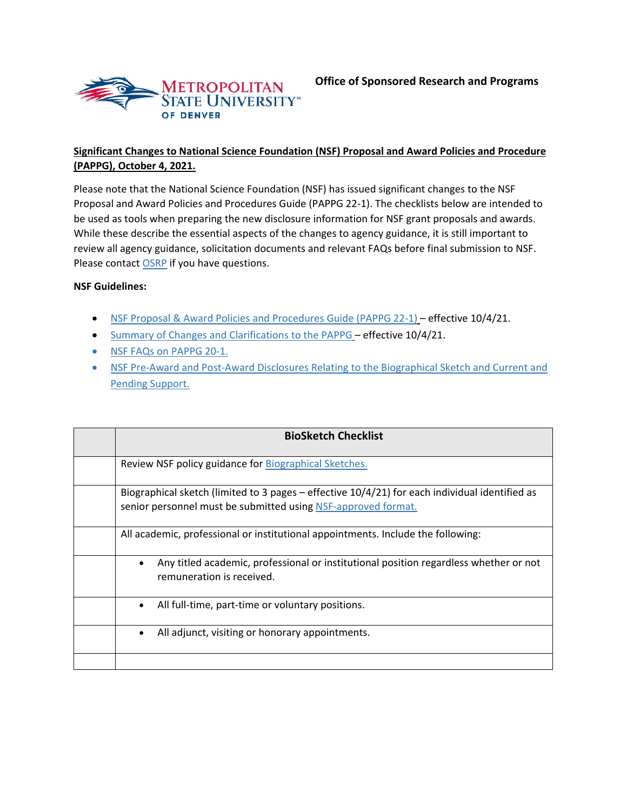

## **Significant Changes to National Science Foundation (NSF) Proposal and Award Policies and Procedure (PAPPG), October 4, 2021.**

Please note that the National Science Foundation (NSF) has issued significant changes to the NSF Proposal and Award Policies and Procedures Guide (PAPPG 22-1). The checklists below are intended to be used as tools when preparing the new disclosure information for NSF grant proposals and awards. While these describe the essential aspects of the changes to agency guidance, it is still important to review all agency guidance, solicitation documents and relevant FAQs before final submission to NSF. Please contact [OSRP](mailto:%20osrp@msudenver.edu) if you have questions.

## **NSF Guidelines:**

- [NSF Proposal & Award Policies and Procedures Guide \(PAPPG 22-1\)](https://www.nsf.gov/pubs/policydocs/pappg22_1/index.jsp) effective 10/4/21.
- [Summary of Changes and Clarifications to the PAPPG](https://www.nsf.gov/pubs/policydocs/pappg22_1/sigchanges.jsp) effective 10/4/21.
- [NSF FAQs on PAPPG 20-1](https://www.nsf.gov/bfa/dias/policy/papp/pappg20_1/faqs20_1.pdf)[.](https://www.msudenver.edu/african-american-affairs-council/scholarship/)
- [NSF Pre-Award and Post-Award Disclosures Relating to the Biographical Sketch and Current and](https://www.nsf.gov/bfa/dias/policy/disclosures_table/june2021.pdf)  [Pending Support.](https://www.nsf.gov/bfa/dias/policy/disclosures_table/june2021.pdf)

| <b>BioSketch Checklist</b>                                                                                                                                        |
|-------------------------------------------------------------------------------------------------------------------------------------------------------------------|
| Review NSF policy guidance for Biographical Sketches.                                                                                                             |
| Biographical sketch (limited to 3 pages $-$ effective 10/4/21) for each individual identified as<br>senior personnel must be submitted using NSF-approved format. |
| All academic, professional or institutional appointments. Include the following:                                                                                  |
| Any titled academic, professional or institutional position regardless whether or not<br>$\bullet$<br>remuneration is received.                                   |
| All full-time, part-time or voluntary positions.<br>$\bullet$                                                                                                     |
| All adjunct, visiting or honorary appointments.<br>$\bullet$                                                                                                      |
|                                                                                                                                                                   |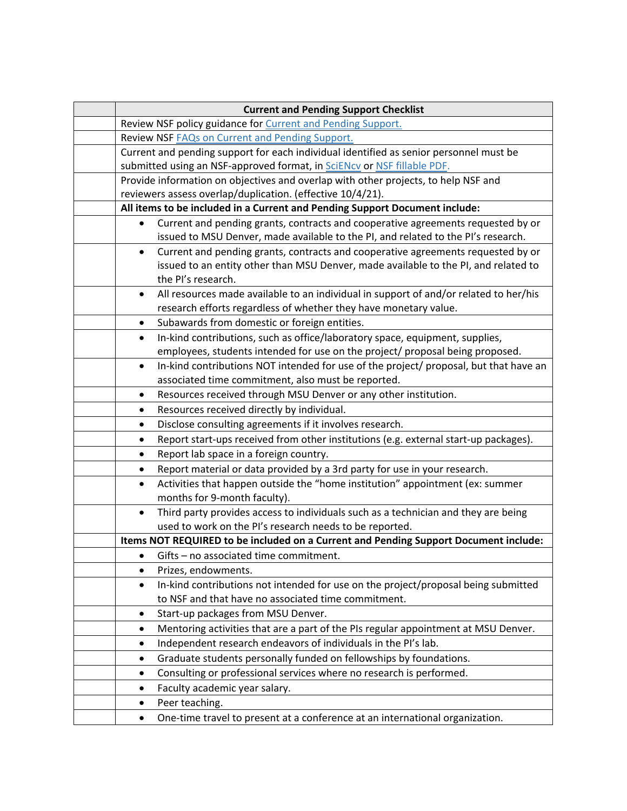|                                                                             | <b>Current and Pending Support Checklist</b>                                                                                                              |  |  |  |
|-----------------------------------------------------------------------------|-----------------------------------------------------------------------------------------------------------------------------------------------------------|--|--|--|
|                                                                             | Review NSF policy guidance for Current and Pending Support.                                                                                               |  |  |  |
|                                                                             | Review NSF <b>FAQs</b> on Current and Pending Support.                                                                                                    |  |  |  |
|                                                                             | Current and pending support for each individual identified as senior personnel must be                                                                    |  |  |  |
|                                                                             | submitted using an NSF-approved format, in <b>SciENcy</b> or NSF fillable PDF.                                                                            |  |  |  |
|                                                                             | Provide information on objectives and overlap with other projects, to help NSF and                                                                        |  |  |  |
|                                                                             | reviewers assess overlap/duplication. (effective 10/4/21).                                                                                                |  |  |  |
| All items to be included in a Current and Pending Support Document include: |                                                                                                                                                           |  |  |  |
| $\bullet$                                                                   | Current and pending grants, contracts and cooperative agreements requested by or                                                                          |  |  |  |
|                                                                             | issued to MSU Denver, made available to the PI, and related to the PI's research.                                                                         |  |  |  |
| $\bullet$                                                                   | Current and pending grants, contracts and cooperative agreements requested by or                                                                          |  |  |  |
|                                                                             | issued to an entity other than MSU Denver, made available to the PI, and related to                                                                       |  |  |  |
|                                                                             | the PI's research.                                                                                                                                        |  |  |  |
| $\bullet$                                                                   | All resources made available to an individual in support of and/or related to her/his<br>research efforts regardless of whether they have monetary value. |  |  |  |
|                                                                             |                                                                                                                                                           |  |  |  |
| ٠                                                                           | Subawards from domestic or foreign entities.<br>In-kind contributions, such as office/laboratory space, equipment, supplies,                              |  |  |  |
| $\bullet$                                                                   | employees, students intended for use on the project/ proposal being proposed.                                                                             |  |  |  |
| $\bullet$                                                                   | In-kind contributions NOT intended for use of the project/ proposal, but that have an                                                                     |  |  |  |
|                                                                             | associated time commitment, also must be reported.                                                                                                        |  |  |  |
| ٠                                                                           | Resources received through MSU Denver or any other institution.                                                                                           |  |  |  |
| ٠                                                                           | Resources received directly by individual.                                                                                                                |  |  |  |
| ٠                                                                           | Disclose consulting agreements if it involves research.                                                                                                   |  |  |  |
| $\bullet$                                                                   | Report start-ups received from other institutions (e.g. external start-up packages).                                                                      |  |  |  |
| ٠                                                                           | Report lab space in a foreign country.                                                                                                                    |  |  |  |
| ٠                                                                           | Report material or data provided by a 3rd party for use in your research.                                                                                 |  |  |  |
| $\bullet$                                                                   | Activities that happen outside the "home institution" appointment (ex: summer                                                                             |  |  |  |
|                                                                             | months for 9-month faculty).                                                                                                                              |  |  |  |
| $\bullet$                                                                   | Third party provides access to individuals such as a technician and they are being                                                                        |  |  |  |
|                                                                             | used to work on the PI's research needs to be reported.                                                                                                   |  |  |  |
|                                                                             | Items NOT REQUIRED to be included on a Current and Pending Support Document include:                                                                      |  |  |  |
| $\bullet$                                                                   | Gifts - no associated time commitment.                                                                                                                    |  |  |  |
| ٠                                                                           | Prizes, endowments.                                                                                                                                       |  |  |  |
| ٠                                                                           | In-kind contributions not intended for use on the project/proposal being submitted                                                                        |  |  |  |
|                                                                             | to NSF and that have no associated time commitment.                                                                                                       |  |  |  |
| $\bullet$                                                                   | Start-up packages from MSU Denver.                                                                                                                        |  |  |  |
| ٠                                                                           | Mentoring activities that are a part of the PIs regular appointment at MSU Denver.                                                                        |  |  |  |
| $\bullet$                                                                   | Independent research endeavors of individuals in the PI's lab.                                                                                            |  |  |  |
| ٠                                                                           | Graduate students personally funded on fellowships by foundations.                                                                                        |  |  |  |
| ٠                                                                           | Consulting or professional services where no research is performed.                                                                                       |  |  |  |
| $\bullet$                                                                   | Faculty academic year salary.                                                                                                                             |  |  |  |
| ٠                                                                           | Peer teaching.                                                                                                                                            |  |  |  |
| $\bullet$                                                                   | One-time travel to present at a conference at an international organization.                                                                              |  |  |  |